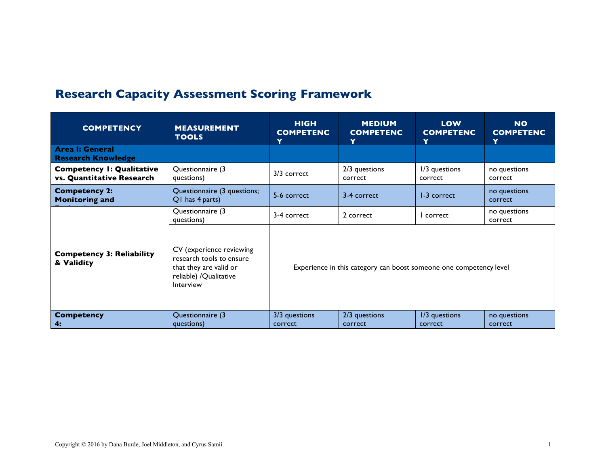## **Research Capacity Assessment Scoring Framework**

| <b>COMPETENCY</b>                                             | <b>MEASUREMENT</b><br><b>TOOLS</b>                                                                                     | <b>HIGH</b><br><b>COMPETENC</b><br>Y                               | <b>MEDIUM</b><br><b>COMPETENC</b><br>Y | <b>LOW</b><br><b>COMPETENC</b><br>Y | <b>NO</b><br><b>COMPETENC</b><br>Y |
|---------------------------------------------------------------|------------------------------------------------------------------------------------------------------------------------|--------------------------------------------------------------------|----------------------------------------|-------------------------------------|------------------------------------|
| <b>Area I: General</b><br><b>Research Knowledge</b>           |                                                                                                                        |                                                                    |                                        |                                     |                                    |
| <b>Competency I: Qualitative</b><br>vs. Quantitative Research | Questionnaire (3<br>questions)                                                                                         | 3/3 correct                                                        | 2/3 questions<br>correct               | 1/3 questions<br>correct            | no questions<br>correct            |
| <b>Competency 2:</b><br><b>Monitoring and</b>                 | Questionnaire (3 questions;<br>Q1 has 4 parts)                                                                         | 5-6 correct                                                        | 3-4 correct                            | 1-3 correct                         | no questions<br>correct            |
| <b>Competency 3: Reliability</b><br>& Validity                | Questionnaire (3<br>questions)                                                                                         | 3-4 correct                                                        | 2 correct                              | I correct                           | no questions<br>correct            |
|                                                               | CV (experience reviewing<br>research tools to ensure<br>that they are valid or<br>reliable) / Qualitative<br>Interview | Experience in this category can boost someone one competency level |                                        |                                     |                                    |
| <b>Competency</b><br>4:                                       | Questionnaire (3<br>questions)                                                                                         | 3/3 questions<br>correct                                           | 2/3 questions<br>correct               | 1/3 questions<br>correct            | no questions<br>correct            |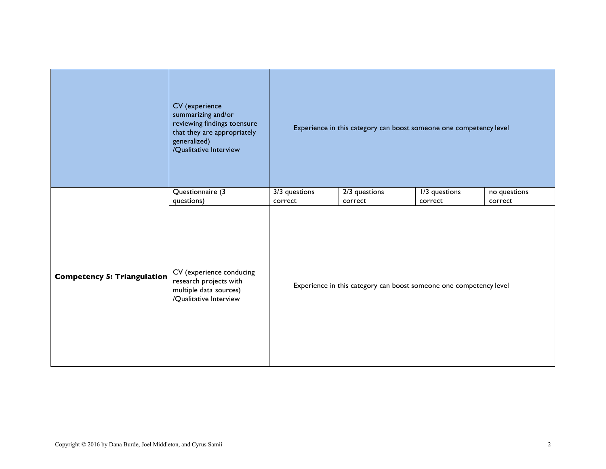|                                    | CV (experience<br>summarizing and/or<br>reviewing findings toensure<br>that they are appropriately<br>generalized)<br>/Qualitative Interview | Experience in this category can boost someone one competency level |                                                                    |                          |                         |  |  |
|------------------------------------|----------------------------------------------------------------------------------------------------------------------------------------------|--------------------------------------------------------------------|--------------------------------------------------------------------|--------------------------|-------------------------|--|--|
|                                    | Questionnaire (3<br>questions)                                                                                                               | 3/3 questions<br>correct                                           | 2/3 questions<br>correct                                           | I/3 questions<br>correct | no questions<br>correct |  |  |
| <b>Competency 5: Triangulation</b> | CV (experience conducing<br>research projects with<br>multiple data sources)<br>/Qualitative Interview                                       |                                                                    | Experience in this category can boost someone one competency level |                          |                         |  |  |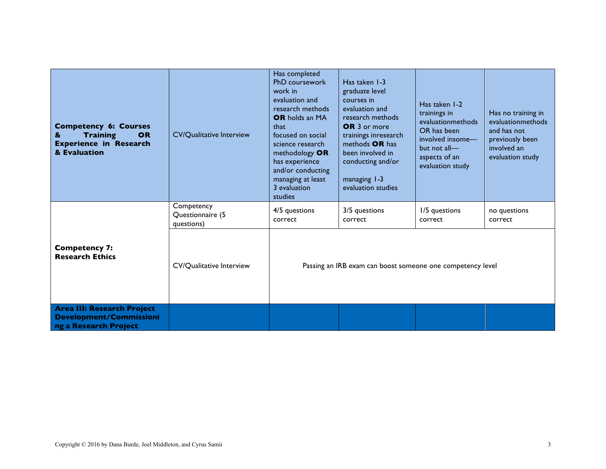| <b>Competency 6: Courses</b><br><b>Training</b><br><b>OR</b><br>&<br><b>Experience in Research</b><br>& Evaluation | <b>CV/Qualitative Interview</b>              | Has completed<br>PhD coursework<br>work in<br>evaluation and<br>research methods<br>OR holds an MA<br>that<br>focused on social<br>science research<br>methodology OR<br>has experience<br>and/or conducting<br>managing at least<br>3 evaluation<br>studies | Has taken 1-3<br>graduate level<br>courses in<br>evaluation and<br>research methods<br><b>OR</b> 3 or more<br>trainings inresearch<br>methods OR has<br>been involved in<br>conducting and/or<br>managing 1-3<br>evaluation studies | Has taken 1-2<br>trainings in<br>evaluationmethods<br>OR has been<br>involved insome-<br>but not all—<br>aspects of an<br>evaluation study | Has no training in<br>evaluationmethods<br>and has not<br>previously been<br>involved an<br>evaluation study |
|--------------------------------------------------------------------------------------------------------------------|----------------------------------------------|--------------------------------------------------------------------------------------------------------------------------------------------------------------------------------------------------------------------------------------------------------------|-------------------------------------------------------------------------------------------------------------------------------------------------------------------------------------------------------------------------------------|--------------------------------------------------------------------------------------------------------------------------------------------|--------------------------------------------------------------------------------------------------------------|
| <b>Competency 7:</b><br><b>Research Ethics</b>                                                                     | Competency<br>Questionnaire (5<br>questions) | 4/5 questions<br>correct                                                                                                                                                                                                                                     | 3/5 questions<br>correct                                                                                                                                                                                                            | 1/5 questions<br>correct                                                                                                                   | no questions<br>correct                                                                                      |
|                                                                                                                    | <b>CV/Qualitative Interview</b>              | Passing an IRB exam can boost someone one competency level                                                                                                                                                                                                   |                                                                                                                                                                                                                                     |                                                                                                                                            |                                                                                                              |
| <b>Area III: Research Project</b><br><b>Development/Commissioni</b><br>ng a Research Project                       |                                              |                                                                                                                                                                                                                                                              |                                                                                                                                                                                                                                     |                                                                                                                                            |                                                                                                              |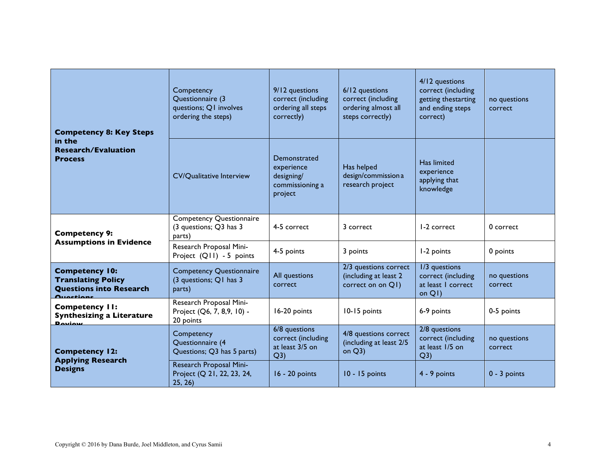| <b>Competency 8: Key Steps</b><br>in the<br><b>Research/Evaluation</b><br><b>Process</b> | Competency<br>Questionnaire (3<br>questions; Q1 involves<br>ordering the steps) | 9/12 questions<br>correct (including<br>ordering all steps<br>correctly) | 6/12 questions<br>correct (including<br>ordering almost all<br>steps correctly) | 4/12 questions<br>correct (including<br>getting thestarting<br>and ending steps<br>correct) | no questions<br>correct |
|------------------------------------------------------------------------------------------|---------------------------------------------------------------------------------|--------------------------------------------------------------------------|---------------------------------------------------------------------------------|---------------------------------------------------------------------------------------------|-------------------------|
|                                                                                          | <b>CV/Qualitative Interview</b>                                                 | Demonstrated<br>experience<br>designing/<br>commissioning a<br>project   | Has helped<br>design/commission a<br>research project                           | Has limited<br>experience<br>applying that<br>knowledge                                     |                         |
| <b>Competency 9:</b>                                                                     | <b>Competency Questionnaire</b><br>(3 questions; Q3 has 3<br>parts)             | 4-5 correct                                                              | 3 correct                                                                       | 1-2 correct                                                                                 | 0 correct               |
| <b>Assumptions in Evidence</b>                                                           | Research Proposal Mini-<br>Project (Q11) - 5 points                             | 4-5 points                                                               | 3 points                                                                        | I-2 points                                                                                  | 0 points                |
| <b>Competency 10:</b><br><b>Translating Policy</b><br><b>Questions into Research</b>     | <b>Competency Questionnaire</b><br>(3 questions; Q1 has 3<br>parts)             | All questions<br>correct                                                 | 2/3 questions correct<br>(including at least 2<br>correct on on Q1)             | I/3 questions<br>correct (including<br>at least I correct<br>on Q1)                         | no questions<br>correct |
| <b>Competency II:</b><br><b>Synthesizing a Literature</b><br><b>Doviow</b>               | Research Proposal Mini-<br>Project (Q6, 7, 8,9, 10) -<br>20 points              | 16-20 points                                                             | 10-15 points                                                                    | 6-9 points                                                                                  | 0-5 points              |
| <b>Competency 12:</b><br><b>Applying Research</b><br><b>Designs</b>                      | Competency<br>Questionnaire (4<br>Questions; Q3 has 5 parts)                    | 6/8 questions<br>correct (including<br>at least 3/5 on<br>Q3)            | 4/8 questions correct<br>(including at least 2/5<br>on $Q3$ )                   | 2/8 questions<br>correct (including<br>at least 1/5 on<br>Q3)                               | no questions<br>correct |
|                                                                                          | Research Proposal Mini-<br>Project (Q 21, 22, 23, 24,<br>25, 26)                | $16 - 20$ points                                                         | $10 - 15$ points                                                                | 4 - 9 points                                                                                | $0 - 3$ points          |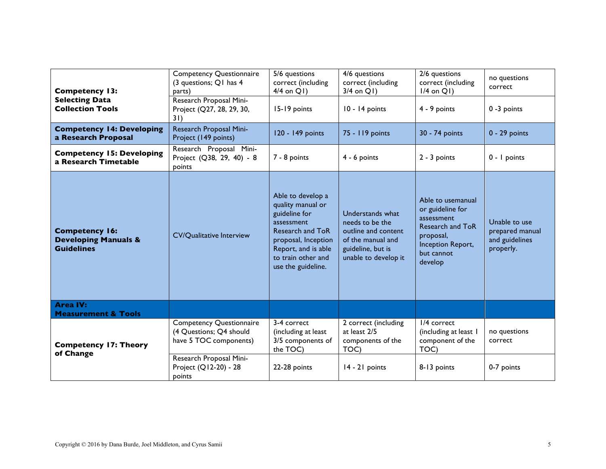| <b>Competency 13:</b>                                                         | <b>Competency Questionnaire</b><br>(3 questions; Q1 has 4<br>parts)                  | 5/6 questions<br>correct (including<br>$4/4$ on Q1)                                                                                                                                 | 4/6 questions<br>correct (including<br>$3/4$ on $Q1$ )                                                                       | 2/6 questions<br>correct (including<br>$1/4$ on Q1)                                                                                       | no questions<br>correct                                         |
|-------------------------------------------------------------------------------|--------------------------------------------------------------------------------------|-------------------------------------------------------------------------------------------------------------------------------------------------------------------------------------|------------------------------------------------------------------------------------------------------------------------------|-------------------------------------------------------------------------------------------------------------------------------------------|-----------------------------------------------------------------|
| <b>Selecting Data</b><br><b>Collection Tools</b>                              | Research Proposal Mini-<br>Project (Q27, 28, 29, 30,<br>31)                          | 15-19 points                                                                                                                                                                        | 10 - 14 points                                                                                                               | 4 - 9 points                                                                                                                              | $0 - 3$ points                                                  |
| <b>Competency 14: Developing</b><br>a Research Proposal                       | Research Proposal Mini-<br>Project (149 points)                                      | 120 - 149 points                                                                                                                                                                    | 75 - 119 points                                                                                                              | 30 - 74 points                                                                                                                            | $0 - 29$ points                                                 |
| <b>Competency 15: Developing</b><br>a Research Timetable                      | Research Proposal Mini-<br>Project (Q38, 29, 40) - 8<br>points                       | 7 - 8 points                                                                                                                                                                        | $4 - 6$ points                                                                                                               | $2 - 3$ points                                                                                                                            | $0 - I$ points                                                  |
| <b>Competency 16:</b><br><b>Developing Manuals &amp;</b><br><b>Guidelines</b> | <b>CV/Qualitative Interview</b>                                                      | Able to develop a<br>quality manual or<br>guideline for<br>assessment<br>Research and ToR<br>proposal, Inception<br>Report, and is able<br>to train other and<br>use the guideline. | Understands what<br>needs to be the<br>outline and content<br>of the manual and<br>guideline, but is<br>unable to develop it | Able to usemanual<br>or guideline for<br>assessment<br><b>Research and ToR</b><br>proposal,<br>Inception Report,<br>but cannot<br>develop | Unable to use<br>prepared manual<br>and guidelines<br>properly. |
| <b>Area IV:</b><br><b>Measurement &amp; Tools</b>                             |                                                                                      |                                                                                                                                                                                     |                                                                                                                              |                                                                                                                                           |                                                                 |
| <b>Competency 17: Theory</b><br>of Change                                     | <b>Competency Questionnaire</b><br>(4 Questions; Q4 should<br>have 5 TOC components) | 3-4 correct<br>(including at least<br>3/5 components of<br>the TOC)                                                                                                                 | 2 correct (including<br>at least 2/5<br>components of the<br>TOC)                                                            | I/4 correct<br>(including at least 1<br>component of the<br>TOC)                                                                          | no questions<br>correct                                         |
|                                                                               | Research Proposal Mini-<br>Project (Q12-20) - 28<br>points                           | 22-28 points                                                                                                                                                                        | 14 - 21 points                                                                                                               | 8-13 points                                                                                                                               | 0-7 points                                                      |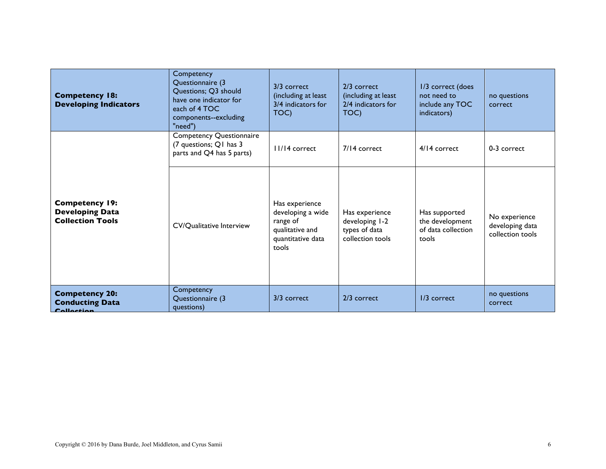| <b>Competency 18:</b><br><b>Developing Indicators</b>                      | Competency<br>Questionnaire (3<br>Questions; Q3 should<br>have one indicator for<br>each of 4 TOC<br>components--excluding<br>"need") | 3/3 correct<br>(including at least<br>3/4 indicators for<br>TOC)                                 | 2/3 correct<br>(including at least<br>2/4 indicators for<br>TOC)      | 1/3 correct (does<br>not need to<br>include any TOC<br>indicators) | no questions<br>correct                              |
|----------------------------------------------------------------------------|---------------------------------------------------------------------------------------------------------------------------------------|--------------------------------------------------------------------------------------------------|-----------------------------------------------------------------------|--------------------------------------------------------------------|------------------------------------------------------|
| <b>Competency 19:</b><br><b>Developing Data</b><br><b>Collection Tools</b> | <b>Competency Questionnaire</b><br>(7 questions; Q1 has 3<br>parts and Q4 has 5 parts)                                                | $11/14$ correct                                                                                  | 7/14 correct                                                          | 4/14 correct                                                       | 0-3 correct                                          |
|                                                                            | <b>CV/Qualitative Interview</b>                                                                                                       | Has experience<br>developing a wide<br>range of<br>qualitative and<br>quantitative data<br>tools | Has experience<br>developing 1-2<br>types of data<br>collection tools | Has supported<br>the development<br>of data collection<br>tools    | No experience<br>developing data<br>collection tools |
| <b>Competency 20:</b><br><b>Conducting Data</b><br>Colloction              | Competency<br>Questionnaire (3<br>questions)                                                                                          | 3/3 correct                                                                                      | 2/3 correct                                                           | $1/3$ correct                                                      | no questions<br>correct                              |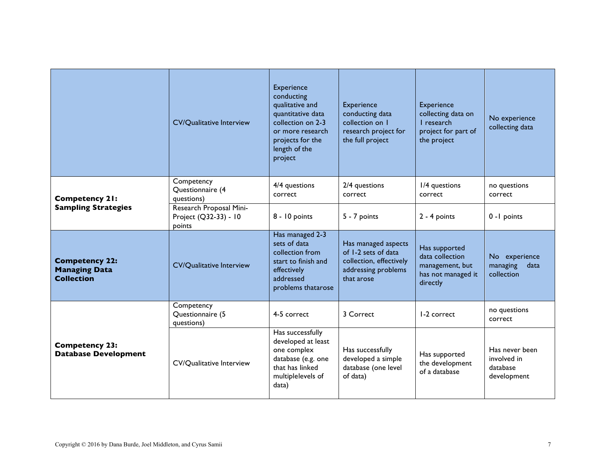|                                                                    | <b>CV/Qualitative Interview</b>                            | Experience<br>conducting<br>qualitative and<br>quantitative data<br>collection on 2-3<br>or more research<br>projects for the<br>length of the<br>project | <b>Experience</b><br>conducting data<br>collection on 1<br>research project for<br>the full project        | Experience<br>collecting data on<br>L research<br>project for part of<br>the project  | No experience<br>collecting data                         |
|--------------------------------------------------------------------|------------------------------------------------------------|-----------------------------------------------------------------------------------------------------------------------------------------------------------|------------------------------------------------------------------------------------------------------------|---------------------------------------------------------------------------------------|----------------------------------------------------------|
| <b>Competency 21:</b>                                              | Competency<br>Questionnaire (4<br>questions)               | 4/4 questions<br>correct                                                                                                                                  | 2/4 questions<br>correct                                                                                   | I/4 questions<br>correct                                                              | no questions<br>correct                                  |
| <b>Sampling Strategies</b>                                         | Research Proposal Mini-<br>Project (Q32-33) - 10<br>points | 8 - 10 points                                                                                                                                             | 5 - 7 points                                                                                               | $2 - 4$ points                                                                        | 0 - I points                                             |
| <b>Competency 22:</b><br><b>Managing Data</b><br><b>Collection</b> | <b>CV/Qualitative Interview</b>                            | Has managed 2-3<br>sets of data<br>collection from<br>start to finish and<br>effectively<br>addressed<br>problems thatarose                               | Has managed aspects<br>of 1-2 sets of data<br>collection, effectively<br>addressing problems<br>that arose | Has supported<br>data collection<br>management, but<br>has not managed it<br>directly | No experience<br>managing<br>data<br>collection          |
| <b>Competency 23:</b><br><b>Database Development</b>               | Competency<br>Questionnaire (5<br>questions)               | 4-5 correct                                                                                                                                               | 3 Correct                                                                                                  | I-2 correct                                                                           | no questions<br>correct                                  |
|                                                                    | <b>CV/Qualitative Interview</b>                            | Has successfully<br>developed at least<br>one complex<br>database (e.g. one<br>that has linked<br>multiplelevels of<br>data)                              | Has successfully<br>developed a simple<br>database (one level<br>of data)                                  | Has supported<br>the development<br>of a database                                     | Has never been<br>involved in<br>database<br>development |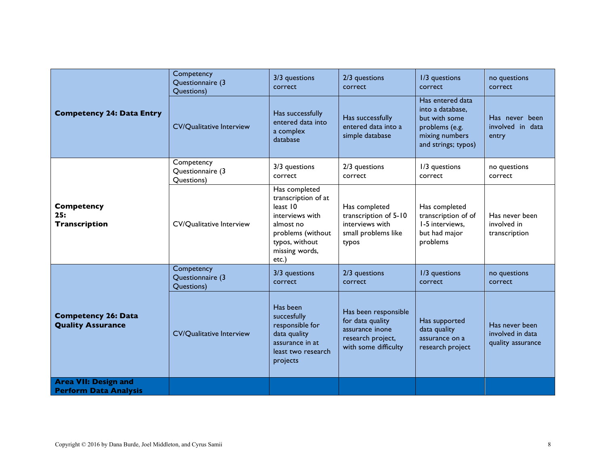|                                                             | Competency<br>Questionnaire (3<br>Questions) | 3/3 questions<br>correct                                                                                                                           | 2/3 questions<br>correct                                                                                 | I/3 questions<br>correct                                                                                         | no questions<br>correct                                 |
|-------------------------------------------------------------|----------------------------------------------|----------------------------------------------------------------------------------------------------------------------------------------------------|----------------------------------------------------------------------------------------------------------|------------------------------------------------------------------------------------------------------------------|---------------------------------------------------------|
| <b>Competency 24: Data Entry</b>                            | <b>CV/Qualitative Interview</b>              | Has successfully<br>entered data into<br>a complex<br>database                                                                                     | Has successfully<br>entered data into a<br>simple database                                               | Has entered data<br>into a database,<br>but with some<br>problems (e.g.<br>mixing numbers<br>and strings; typos) | Has never been<br>involved in data<br>entry             |
|                                                             | Competency<br>Questionnaire (3<br>Questions) | 3/3 questions<br>correct                                                                                                                           | 2/3 questions<br>correct                                                                                 | 1/3 questions<br>correct                                                                                         | no questions<br>correct                                 |
| <b>Competency</b><br>25:<br><b>Transcription</b>            | <b>CV/Qualitative Interview</b>              | Has completed<br>transcription of at<br>least 10<br>interviews with<br>almost no<br>problems (without<br>typos, without<br>missing words,<br>etc.) | Has completed<br>transcription of 5-10<br>interviews with<br>small problems like<br>typos                | Has completed<br>transcription of of<br>I-5 interviews.<br>but had major<br>problems                             | Has never been<br>involved in<br>transcription          |
|                                                             | Competency<br>Questionnaire (3<br>Questions) | 3/3 questions<br>correct                                                                                                                           | 2/3 questions<br>correct                                                                                 | 1/3 questions<br>correct                                                                                         | no questions<br>correct                                 |
| <b>Competency 26: Data</b><br><b>Quality Assurance</b>      | <b>CV/Qualitative Interview</b>              | Has been<br>succesfully<br>responsible for<br>data quality<br>assurance in at<br>least two research<br>projects                                    | Has been responsible<br>for data quality<br>assurance inone<br>research project,<br>with some difficulty | Has supported<br>data quality<br>assurance on a<br>research project                                              | Has never been<br>involved in data<br>quality assurance |
| <b>Area VII: Design and</b><br><b>Perform Data Analysis</b> |                                              |                                                                                                                                                    |                                                                                                          |                                                                                                                  |                                                         |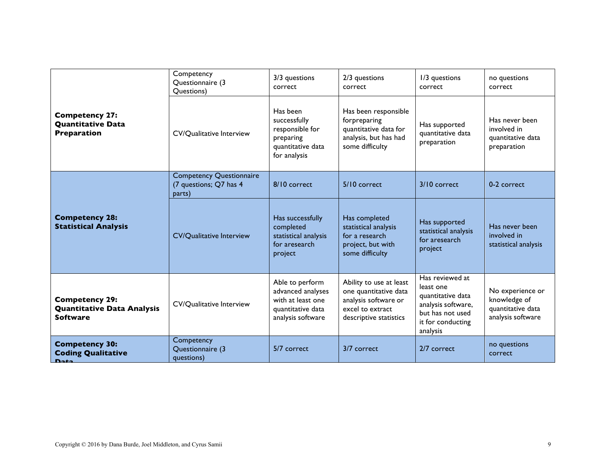| <b>Competency 27:</b><br><b>Quantitative Data</b><br><b>Preparation</b><br><b>Competency 28:</b><br><b>Statistical Analysis</b> | Competency<br>Questionnaire (3<br>Questions)                        | 3/3 questions<br>correct                                                                            | 2/3 questions<br>correct                                                                                               | I/3 questions<br>correct                                                                                                     | no questions<br>correct                                                    |
|---------------------------------------------------------------------------------------------------------------------------------|---------------------------------------------------------------------|-----------------------------------------------------------------------------------------------------|------------------------------------------------------------------------------------------------------------------------|------------------------------------------------------------------------------------------------------------------------------|----------------------------------------------------------------------------|
|                                                                                                                                 | <b>CV/Qualitative Interview</b>                                     | Has been<br>successfully<br>responsible for<br>preparing<br>quantitative data<br>for analysis       | Has been responsible<br>forpreparing<br>quantitative data for<br>analysis, but has had<br>some difficulty              | Has supported<br>quantitative data<br>preparation                                                                            | Has never been<br>involved in<br>quantitative data<br>preparation          |
|                                                                                                                                 | <b>Competency Questionnaire</b><br>(7 questions; Q7 has 4<br>parts) | 8/10 correct                                                                                        | 5/10 correct                                                                                                           | 3/10 correct                                                                                                                 | 0-2 correct                                                                |
|                                                                                                                                 | <b>CV/Qualitative Interview</b>                                     | Has successfully<br>completed<br>statistical analysis<br>for aresearch<br>project                   | Has completed<br>statistical analysis<br>for a research<br>project, but with<br>some difficulty                        | Has supported<br>statistical analysis<br>for aresearch<br>project                                                            | Has never been<br>involved in<br>statistical analysis                      |
| <b>Competency 29:</b><br><b>Quantitative Data Analysis</b><br><b>Software</b>                                                   | <b>CV/Qualitative Interview</b>                                     | Able to perform<br>advanced analyses<br>with at least one<br>quantitative data<br>analysis software | Ability to use at least<br>one quantitative data<br>analysis software or<br>excel to extract<br>descriptive statistics | Has reviewed at<br>least one<br>quantitative data<br>analysis software,<br>but has not used<br>it for conducting<br>analysis | No experience or<br>knowledge of<br>quantitative data<br>analysis software |
| <b>Competency 30:</b><br><b>Coding Qualitative</b><br>D <sub>2</sub>                                                            | Competency<br>Questionnaire (3<br>questions)                        | 5/7 correct                                                                                         | 3/7 correct                                                                                                            | 2/7 correct                                                                                                                  | no questions<br>correct                                                    |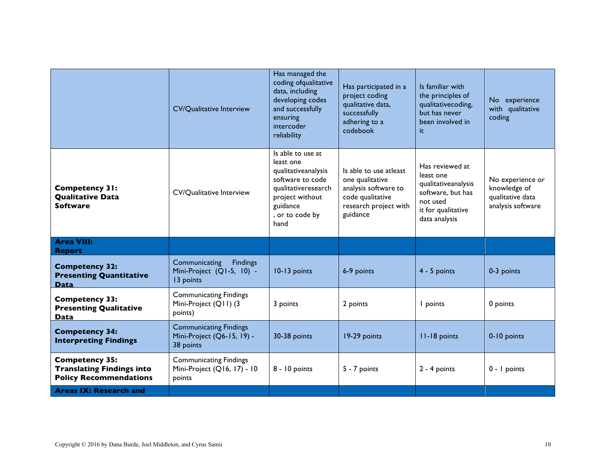|                                                                                            | <b>CV/Qualitative Interview</b>                                            | Has managed the<br>coding ofqualitative<br>data, including<br>developing codes<br>and successfully<br>ensuring<br>intercoder<br>reliability                | Has participated in a<br>project coding<br>qualitative data,<br>successfully<br>adhering to a<br>codebook                  | Is familiar with<br>the principles of<br>qualitativecoding,<br>but has never<br>been involved in<br>it                      | No experience<br>with qualitative<br>coding                               |
|--------------------------------------------------------------------------------------------|----------------------------------------------------------------------------|------------------------------------------------------------------------------------------------------------------------------------------------------------|----------------------------------------------------------------------------------------------------------------------------|-----------------------------------------------------------------------------------------------------------------------------|---------------------------------------------------------------------------|
| <b>Competency 31:</b><br><b>Qualitative Data</b><br><b>Software</b>                        | <b>CV/Qualitative Interview</b>                                            | Is able to use at<br>least one<br>qualitativeanalysis<br>software to code<br>qualitativeresearch<br>project without<br>guidance<br>, or to code by<br>hand | Is able to use atleast<br>one qualitative<br>analysis software to<br>code qualitative<br>research project with<br>guidance | Has reviewed at<br>least one<br>qualitativeanalysis<br>software, but has<br>not used<br>it for qualitative<br>data analysis | No experience or<br>knowledge of<br>qualitative data<br>analysis software |
| <b>Area VIII:</b><br><b>Report</b>                                                         |                                                                            |                                                                                                                                                            |                                                                                                                            |                                                                                                                             |                                                                           |
| <b>Competency 32:</b><br><b>Presenting Quantitative</b><br><b>Data</b>                     | Communicating<br><b>Findings</b><br>Mini-Project (Q1-5, 10) -<br>13 points | 10-13 points                                                                                                                                               | 6-9 points                                                                                                                 | $4 - 5$ points                                                                                                              | 0-3 points                                                                |
| <b>Competency 33:</b><br><b>Presenting Qualitative</b><br><b>Data</b>                      | <b>Communicating Findings</b><br>Mini-Project (Q11) (3<br>points)          | 3 points                                                                                                                                                   | 2 points                                                                                                                   | I points                                                                                                                    | 0 points                                                                  |
| <b>Competency 34:</b><br><b>Interpreting Findings</b>                                      | <b>Communicating Findings</b><br>Mini-Project (Q6-15, 19) -<br>38 points   | 30-38 points                                                                                                                                               | 19-29 points                                                                                                               | II-18 points                                                                                                                | 0-10 points                                                               |
| <b>Competency 35:</b><br><b>Translating Findings into</b><br><b>Policy Recommendations</b> | <b>Communicating Findings</b><br>Mini-Project (Q16, 17) - 10<br>points     | 8 - 10 points                                                                                                                                              | 5 - 7 points                                                                                                               | $2 - 4$ points                                                                                                              | $0 - I$ points                                                            |
| <b>Areas IX: Research and</b>                                                              |                                                                            |                                                                                                                                                            |                                                                                                                            |                                                                                                                             |                                                                           |